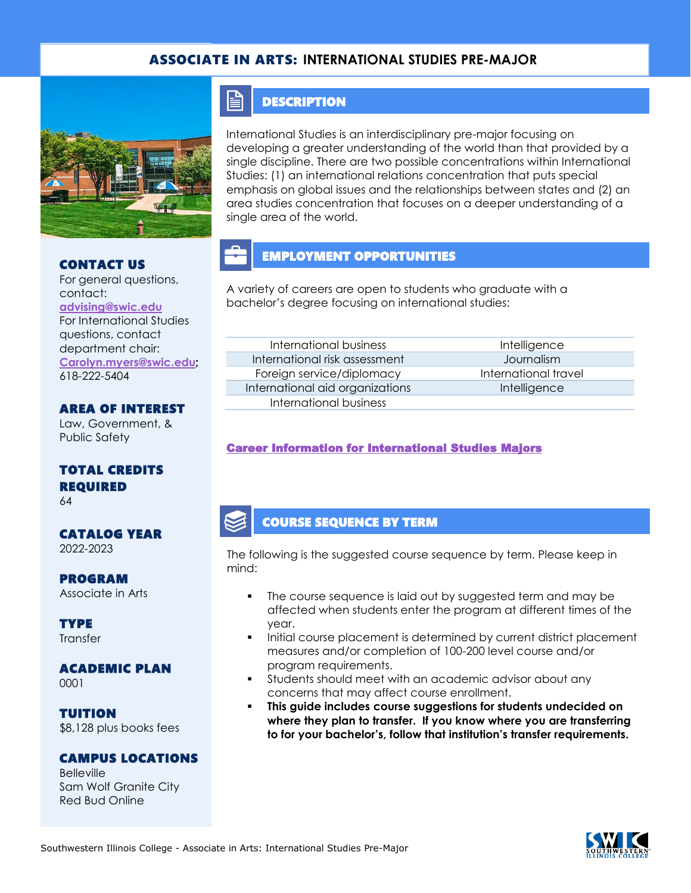### ASSOCIATE IN ARTS: **INTERNATIONAL STUDIES PRE-MAJOR**



### CONTACT US

For general questions, contact: **[advising@swic.edu](mailto:advising@swic.edu)** For International Studies questions, contact department chair: **[Carolyn.myers@swic.edu;](mailto:Carolyn.myers@swic.edu)**  618-222-5404

#### AREA OF INTEREST

Law, Government, & Public Safety

### TOTAL CREDITS REQUIRED

64

#### CATALOG YEAR 2022-2023

PROGRAM

Associate in Arts

**TYPE Transfer** 

### ACADEMIC PLAN

0001

TUITION \$8,128 plus books fees

### CAMPUS LOCATIONS

**Belleville** Sam Wolf Granite City Red Bud Online

### **DESCRIPTION**

E

International Studies is an interdisciplinary pre-major focusing on developing a greater understanding of the world than that provided by a single discipline. There are two possible concentrations within International Studies: (1) an international relations concentration that puts special emphasis on global issues and the relationships between states and (2) an area studies concentration that focuses on a deeper understanding of a single area of the world.

# EMPLOYMENT OPPORTUNITIES

A variety of careers are open to students who graduate with a bachelor's degree focusing on international studies:

#### International business and a little intelligence International risk assessment Journalism Foreign service/diplomacy and international travel International aid organizations and intelligence International business

#### [Career Information for International Studies Majors](https://www.onetonline.org/find/quick?s=international+studies)

### COURSE SEQUENCE BY TERM

The following is the suggested course sequence by term. Please keep in mind:

- The course sequence is laid out by suggested term and may be affected when students enter the program at different times of the year.
- Initial course placement is determined by current district placement measures and/or completion of 100-200 level course and/or program requirements.
- Students should meet with an academic advisor about any concerns that may affect course enrollment.
- This guide includes course suggestions for students undecided on **where they plan to transfer. If you know where you are transferring to for your bachelor's, follow that institution's transfer requirements.**